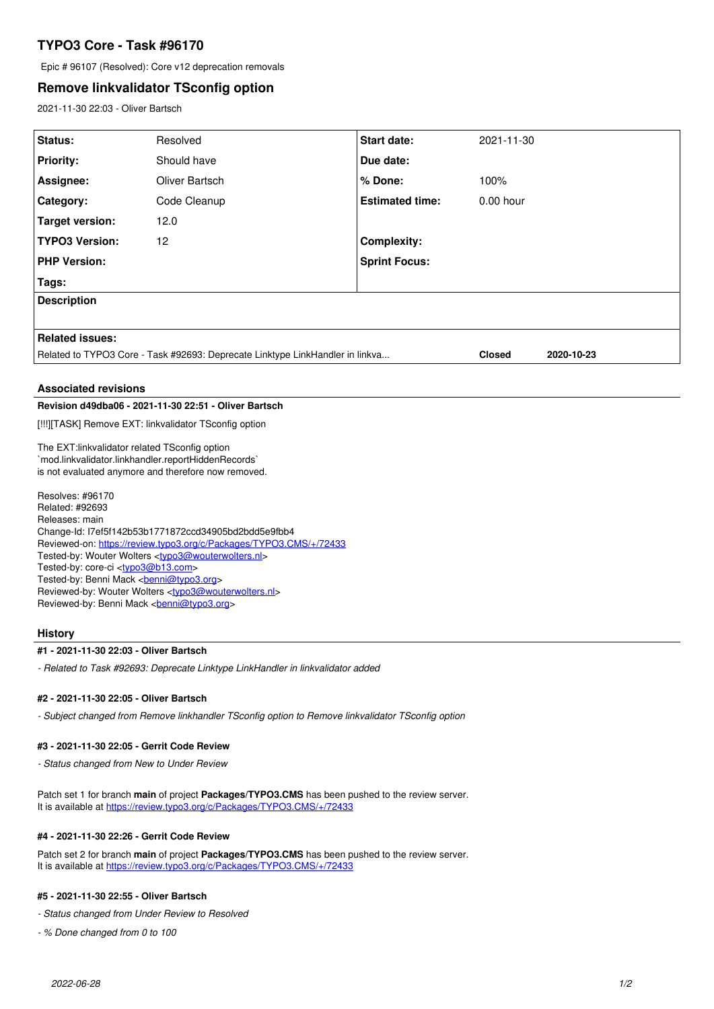# **TYPO3 Core - Task #96170**

Epic # 96107 (Resolved): Core v12 deprecation removals

## **Remove linkvalidator TSconfig option**

2021-11-30 22:03 - Oliver Bartsch

| Status:                                                                                              | Resolved       | Start date:                 | 2021-11-30  |
|------------------------------------------------------------------------------------------------------|----------------|-----------------------------|-------------|
| <b>Priority:</b>                                                                                     | Should have    | Due date:                   |             |
| Assignee:                                                                                            | Oliver Bartsch | % Done:                     | 100%        |
| Category:                                                                                            | Code Cleanup   | <b>Estimated time:</b>      | $0.00$ hour |
| <b>Target version:</b>                                                                               | 12.0           |                             |             |
| <b>TYPO3 Version:</b>                                                                                | 12             | <b>Complexity:</b>          |             |
| <b>PHP Version:</b>                                                                                  |                | <b>Sprint Focus:</b>        |             |
| Tags:                                                                                                |                |                             |             |
| <b>Description</b>                                                                                   |                |                             |             |
|                                                                                                      |                |                             |             |
| <b>Related issues:</b>                                                                               |                |                             |             |
| Related to TYPO3 Core - Task #92693: Deprecate Linktype LinkHandler in linkva                        |                | 2020-10-23<br><b>Closed</b> |             |
| <b>Associated revisions</b>                                                                          |                |                             |             |
| Revision d49dba06 - 2021-11-30 22:51 - Oliver Bartsch                                                |                |                             |             |
|                                                                                                      |                |                             |             |
| [!!!][TASK] Remove EXT: linkvalidator TSconfig option                                                |                |                             |             |
| The EXT:linkvalidator related TSconfig option<br>`mod.linkvalidator.linkhandler.reportHiddenRecords` |                |                             |             |
| is not evaluated anymore and therefore now removed.                                                  |                |                             |             |
| Resolves: #96170<br>Ralatad: #00603                                                                  |                |                             |             |

Related: #92693 Releases: main Change-Id: I7ef5f142b53b1771872ccd34905bd2bdd5e9fbb4 Reviewed-on:<https://review.typo3.org/c/Packages/TYPO3.CMS/+/72433> Tested-by: Wouter Wolters [<typo3@wouterwolters.nl>](mailto:typo3@wouterwolters.nl) Tested-by: core-ci [<typo3@b13.com](mailto:typo3@b13.com)> Tested-by: Benni Mack <<mark>benni@typo3.org</mark>> Reviewed-by: Wouter Wolters <<u>[typo3@wouterwolters.nl](mailto:typo3@wouterwolters.nl)</u>> Reviewed-by: Benni Mack <br/> <br/>[benni@typo3.org>](mailto:benni@typo3.org)

## **History**

## **#1 - 2021-11-30 22:03 - Oliver Bartsch**

*- Related to Task #92693: Deprecate Linktype LinkHandler in linkvalidator added*

#### **#2 - 2021-11-30 22:05 - Oliver Bartsch**

*- Subject changed from Remove linkhandler TSconfig option to Remove linkvalidator TSconfig option*

#### **#3 - 2021-11-30 22:05 - Gerrit Code Review**

*- Status changed from New to Under Review*

Patch set 1 for branch **main** of project **Packages/TYPO3.CMS** has been pushed to the review server. It is available at <https://review.typo3.org/c/Packages/TYPO3.CMS/+/72433>

### **#4 - 2021-11-30 22:26 - Gerrit Code Review**

Patch set 2 for branch **main** of project **Packages/TYPO3.CMS** has been pushed to the review server. It is available at <https://review.typo3.org/c/Packages/TYPO3.CMS/+/72433>

### **#5 - 2021-11-30 22:55 - Oliver Bartsch**

*- Status changed from Under Review to Resolved*

*- % Done changed from 0 to 100*